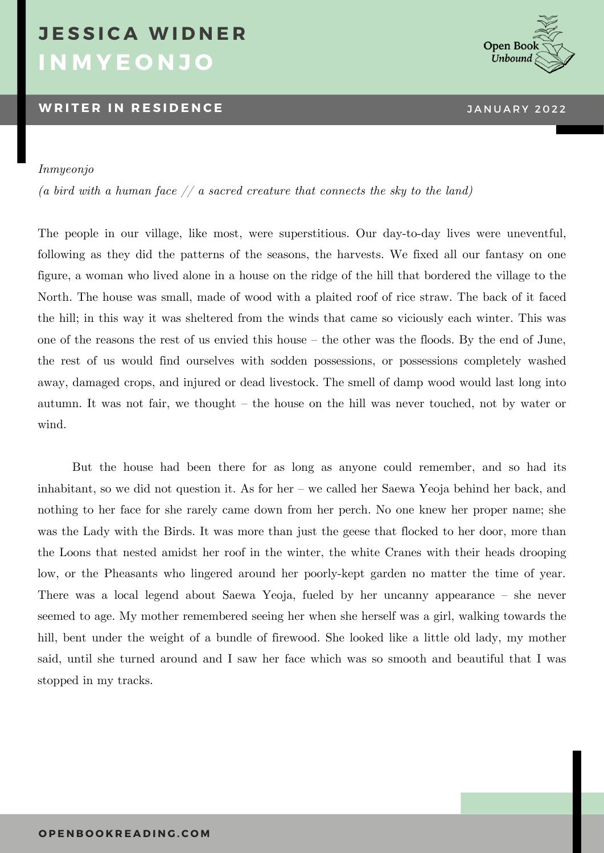## **I N M Y E O N J O J E S S I C A W I D N E R**

### **WRITER IN RESIDENCE ERR ERR ERR ERR ERR ERR ERR ERR ERR ERR ERR ERR ERR ERR ERR ERR ERR ERR ERR ERR ERR ERR ERR ERR ERR ERR ERR ERR ERR ERR ERR ERR ERR E**



#### *Inmyeonjo*

*(a bird with a human face // a sacred creature that connects the sky to the land)*

The people in our village, like most, were superstitious. Our day-to-day lives were uneventful, following as they did the patterns of the seasons, the harvests. We fixed all our fantasy on one figure, a woman who lived alone in a house on the ridge of the hill that bordered the village to the North. The house was small, made of wood with a plaited roof of rice straw. The back of it faced the hill; in this way it was sheltered from the winds that came so viciously each winter. This was one of the reasons the rest of us envied this house – the other was the floods. By the end of June, the rest of us would find ourselves with sodden possessions, or possessions completely washed away, damaged crops, and injured or dead livestock. The smell of damp wood would last long into autumn. It was not fair, we thought – the house on the hill was never touched, not by water or wind.

But the house had been there for as long as anyone could remember, and so had its inhabitant, so we did not question it. As for her – we called her Saewa Yeoja behind her back, and nothing to her face for she rarely came down from her perch. No one knew her proper name; she was the Lady with the Birds. It was more than just the geese that flocked to her door, more than the Loons that nested amidst her roof in the winter, the white Cranes with their heads drooping low, or the Pheasants who lingered around her poorly-kept garden no matter the time of year. There was a local legend about Saewa Yeoja, fueled by her uncanny appearance – she never seemed to age. My mother remembered seeing her when she herself was a girl, walking towards the hill, bent under the weight of a bundle of firewood. She looked like a little old lady, my mother said, until she turned around and I saw her face which was so smooth and beautiful that I was stopped in my tracks.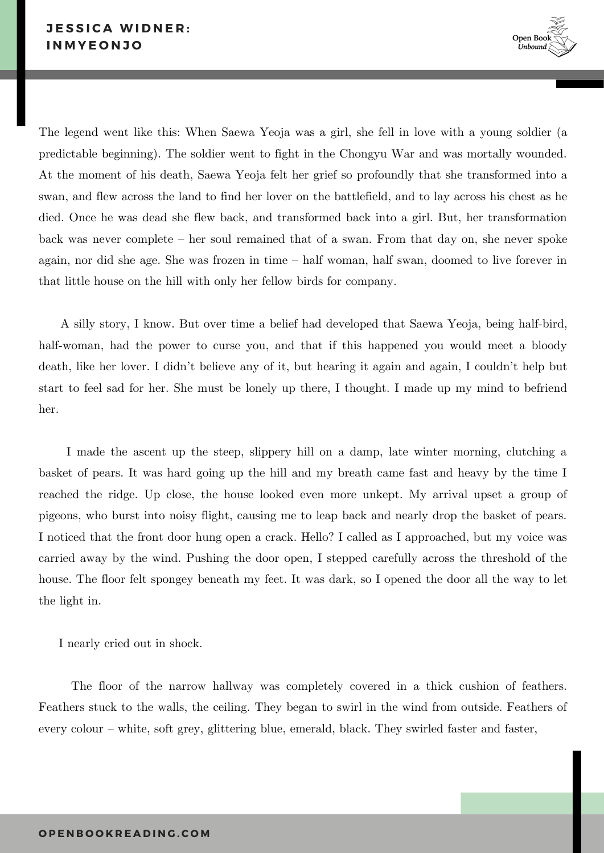

The legend went like this: When Saewa Yeoja was a girl, she fell in love with a young soldier (a predictable beginning). The soldier went to fight in the Chongyu War and was mortally wounded. At the moment of his death, Saewa Yeoja felt her grief so profoundly that she transformed into a swan, and flew across the land to find her lover on the battlefield, and to lay across his chest as he died. Once he was dead she flew back, and transformed back into a girl. But, her transformation back was never complete – her soul remained that of a swan. From that day on, she never spoke again, nor did she age. She was frozen in time – half woman, half swan, doomed to live forever in that little house on the hill with only her fellow birds for company.

A silly story, I know. But over time a belief had developed that Saewa Yeoja, being half-bird, half-woman, had the power to curse you, and that if this happened you would meet a bloody death, like her lover. I didn't believe any of it, but hearing it again and again, I couldn't help but start to feel sad for her. She must be lonely up there, I thought. I made up my mind to befriend her.

I made the ascent up the steep, slippery hill on a damp, late winter morning, clutching a basket of pears. It was hard going up the hill and my breath came fast and heavy by the time I reached the ridge. Up close, the house looked even more unkept. My arrival upset a group of pigeons, who burst into noisy flight, causing me to leap back and nearly drop the basket of pears. I noticed that the front door hung open a crack. Hello? I called as I approached, but my voice was carried away by the wind. Pushing the door open, I stepped carefully across the threshold of the house. The floor felt spongey beneath my feet. It was dark, so I opened the door all the way to let the light in.

I nearly cried out in shock.

The floor of the narrow hallway was completely covered in a thick cushion of feathers. Feathers stuck to the walls, the ceiling. They began to swirl in the wind from outside. Feathers of every colour – white, soft grey, glittering blue, emerald, black. They swirled faster and faster,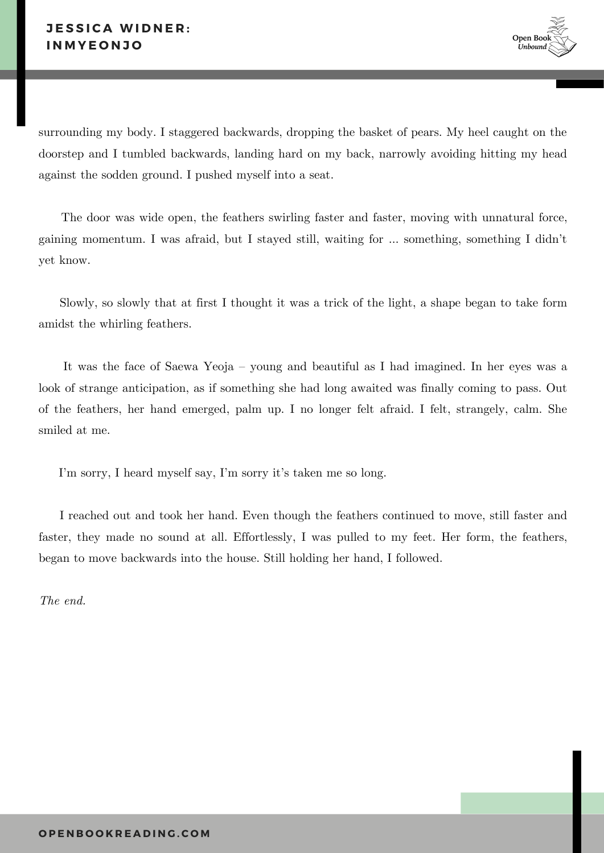surrounding my body. I staggered backwards, dropping the basket of pears. My heel caught on the doorstep and I tumbled backwards, landing hard on my back, narrowly avoiding hitting my head against the sodden ground. I pushed myself into a seat.

The door was wide open, the feathers swirling faster and faster, moving with unnatural force, gaining momentum. I was afraid, but I stayed still, waiting for … something, something I didn't yet know.

Slowly, so slowly that at first I thought it was a trick of the light, a shape began to take form amidst the whirling feathers.

It was the face of Saewa Yeoja – young and beautiful as I had imagined. In her eyes was a look of strange anticipation, as if something she had long awaited was finally coming to pass. Out of the feathers, her hand emerged, palm up. I no longer felt afraid. I felt, strangely, calm. She smiled at me.

I'm sorry, I heard myself say, I'm sorry it's taken me so long.

I reached out and took her hand. Even though the feathers continued to move, still faster and faster, they made no sound at all. Effortlessly, I was pulled to my feet. Her form, the feathers, began to move backwards into the house. Still holding her hand, I followed.

*The end.*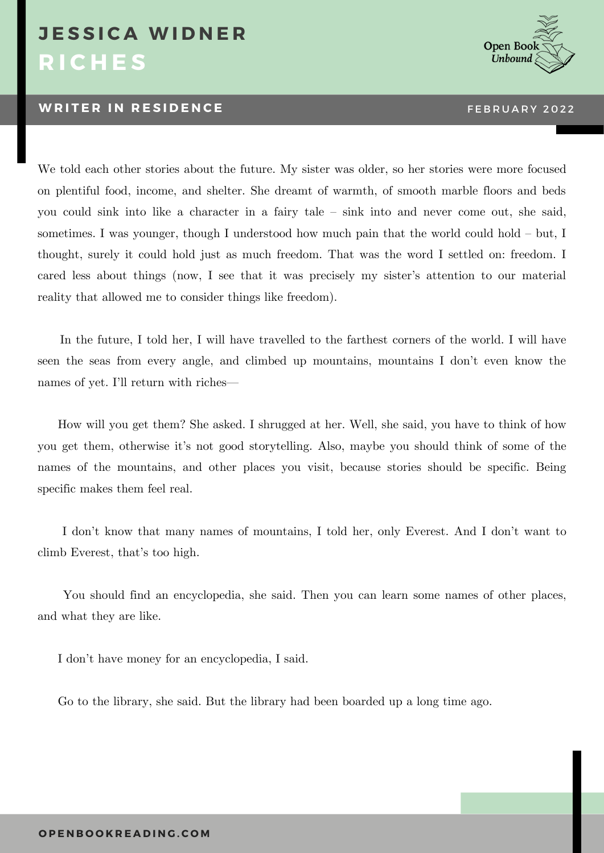### **R I C H E S J E S S I C A W I D N E R**

#### **WRITER IN RESIDENCE THE RUBBE RESIDENCE THE RUBBE RESIDENCE**



We told each other stories about the future. My sister was older, so her stories were more focused on plentiful food, income, and shelter. She dreamt of warmth, of smooth marble floors and beds you could sink into like a character in a fairy tale – sink into and never come out, she said, sometimes. I was younger, though I understood how much pain that the world could hold – but, I thought, surely it could hold just as much freedom. That was the word I settled on: freedom. I cared less about things (now, I see that it was precisely my sister's attention to our material reality that allowed me to consider things like freedom).

In the future, I told her, I will have travelled to the farthest corners of the world. I will have seen the seas from every angle, and climbed up mountains, mountains I don't even know the names of yet. I'll return with riches—

 How will you get them? She asked. I shrugged at her. Well, she said, you have to think of how you get them, otherwise it's not good storytelling. Also, maybe you should think of some of the names of the mountains, and other places you visit, because stories should be specific. Being specific makes them feel real.

I don't know that many names of mountains, I told her, only Everest. And I don't want to climb Everest, that's too high.

You should find an encyclopedia, she said. Then you can learn some names of other places, and what they are like.

I don't have money for an encyclopedia, I said.

Go to the library, she said. But the library had been boarded up a long time ago.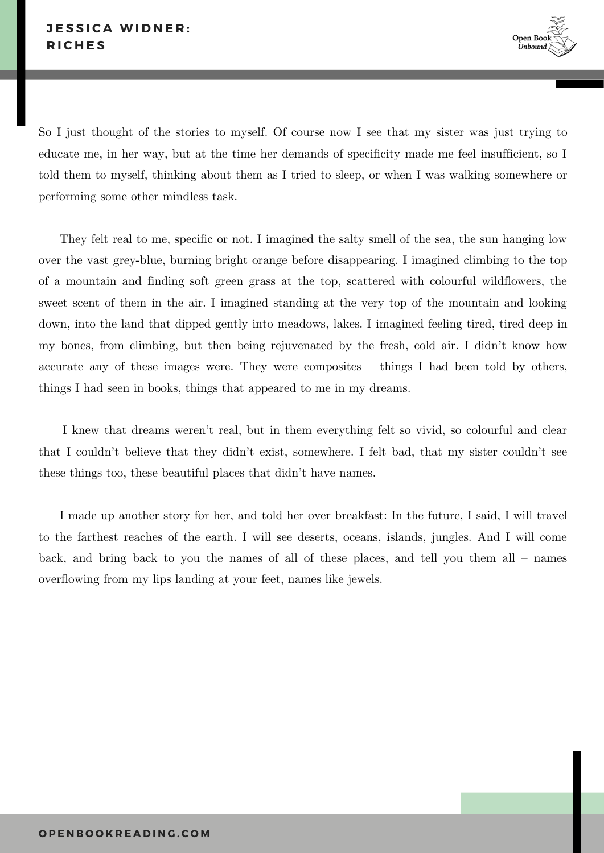So I just thought of the stories to myself. Of course now I see that my sister was just trying to educate me, in her way, but at the time her demands of specificity made me feel insufficient, so I told them to myself, thinking about them as I tried to sleep, or when I was walking somewhere or performing some other mindless task.

They felt real to me, specific or not. I imagined the salty smell of the sea, the sun hanging low over the vast grey-blue, burning bright orange before disappearing. I imagined climbing to the top of a mountain and finding soft green grass at the top, scattered with colourful wildflowers, the sweet scent of them in the air. I imagined standing at the very top of the mountain and looking down, into the land that dipped gently into meadows, lakes. I imagined feeling tired, tired deep in my bones, from climbing, but then being rejuvenated by the fresh, cold air. I didn't know how accurate any of these images were. They were composites – things I had been told by others, things I had seen in books, things that appeared to me in my dreams.

I knew that dreams weren't real, but in them everything felt so vivid, so colourful and clear that I couldn't believe that they didn't exist, somewhere. I felt bad, that my sister couldn't see these things too, these beautiful places that didn't have names.

I made up another story for her, and told her over breakfast: In the future, I said, I will travel to the farthest reaches of the earth. I will see deserts, oceans, islands, jungles. And I will come back, and bring back to you the names of all of these places, and tell you them all – names overflowing from my lips landing at your feet, names like jewels.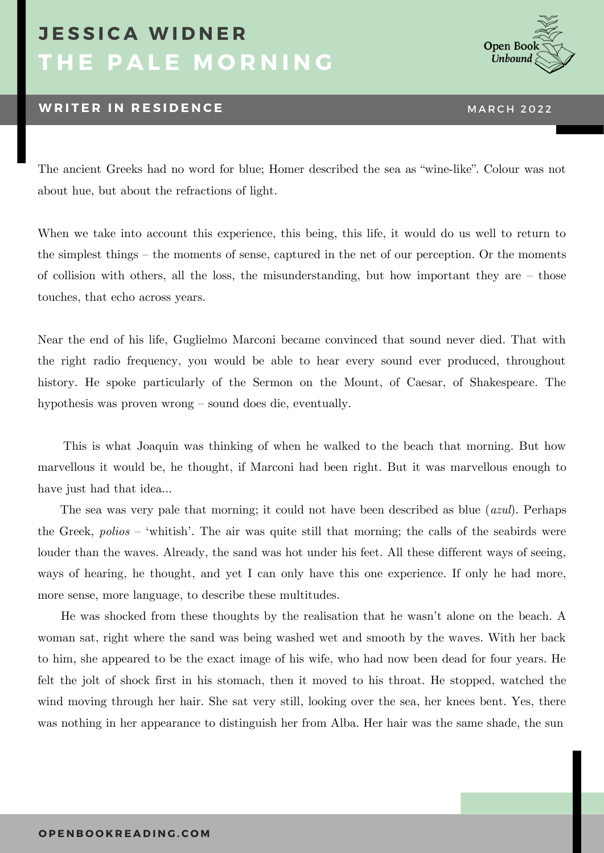# **T H E P A L E M O R N I N G J E S S I C A W I D N E R**

### **WRITER IN RESIDENCE MARCH 2022**



The ancient Greeks had no word for blue; Homer described the sea as "wine-like". Colour was not about hue, but about the refractions of light.

When we take into account this experience, this being, this life, it would do us well to return to the simplest things – the moments of sense, captured in the net of our perception. Or the moments of collision with others, all the loss, the misunderstanding, but how important they are – those touches, that echo across years.

Near the end of his life, Guglielmo Marconi became convinced that sound never died. That with the right radio frequency, you would be able to hear every sound ever produced, throughout history. He spoke particularly of the Sermon on the Mount, of Caesar, of Shakespeare. The hypothesis was proven wrong – sound does die, eventually.

This is what Joaquin was thinking of when he walked to the beach that morning. But how marvellous it would be, he thought, if Marconi had been right. But it was marvellous enough to have just had that idea…

The sea was very pale that morning; it could not have been described as blue (*azul*). Perhaps the Greek, *polios* – 'whitish'. The air was quite still that morning; the calls of the seabirds were louder than the waves. Already, the sand was hot under his feet. All these different ways of seeing, ways of hearing, he thought, and yet I can only have this one experience. If only he had more, more sense, more language, to describe these multitudes.

He was shocked from these thoughts by the realisation that he wasn't alone on the beach. A woman sat, right where the sand was being washed wet and smooth by the waves. With her back to him, she appeared to be the exact image of his wife, who had now been dead for four years. He felt the jolt of shock first in his stomach, then it moved to his throat. He stopped, watched the wind moving through her hair. She sat very still, looking over the sea, her knees bent. Yes, there was nothing in her appearance to distinguish her from Alba. Her hair was the same shade, the sun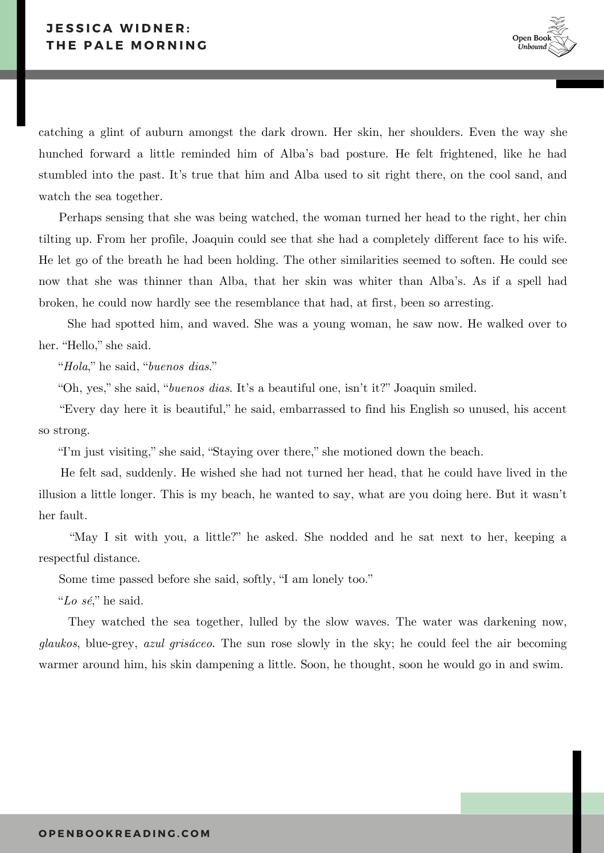catching a glint of auburn amongst the dark drown. Her skin, her shoulders. Even the way she hunched forward a little reminded him of Alba's bad posture. He felt frightened, like he had stumbled into the past. It's true that him and Alba used to sit right there, on the cool sand, and watch the sea together.

 Perhaps sensing that she was being watched, the woman turned her head to the right, her chin tilting up. From her profile, Joaquin could see that she had a completely different face to his wife. He let go of the breath he had been holding. The other similarities seemed to soften. He could see now that she was thinner than Alba, that her skin was whiter than Alba's. As if a spell had broken, he could now hardly see the resemblance that had, at first, been so arresting.

She had spotted him, and waved. She was a young woman, he saw now. He walked over to her. "Hello," she said.

"*Hola*," he said, "*buenos dias*."

"Oh, yes," she said, "*buenos dias*. It's a beautiful one, isn't it?" Joaquin smiled.

"Every day here it is beautiful," he said, embarrassed to find his English so unused, his accent so strong.

"I'm just visiting," she said, "Staying over there," she motioned down the beach.

He felt sad, suddenly. He wished she had not turned her head, that he could have lived in the illusion a little longer. This is my beach, he wanted to say, what are you doing here. But it wasn't her fault.

"May I sit with you, a little?" he asked. She nodded and he sat next to her, keeping a respectful distance.

Some time passed before she said, softly, "I am lonely too."

"*Lo sé*," he said.

They watched the sea together, lulled by the slow waves. The water was darkening now, *glaukos*, blue-grey, *azul grisáceo*. The sun rose slowly in the sky; he could feel the air becoming warmer around him, his skin dampening a little. Soon, he thought, soon he would go in and swim.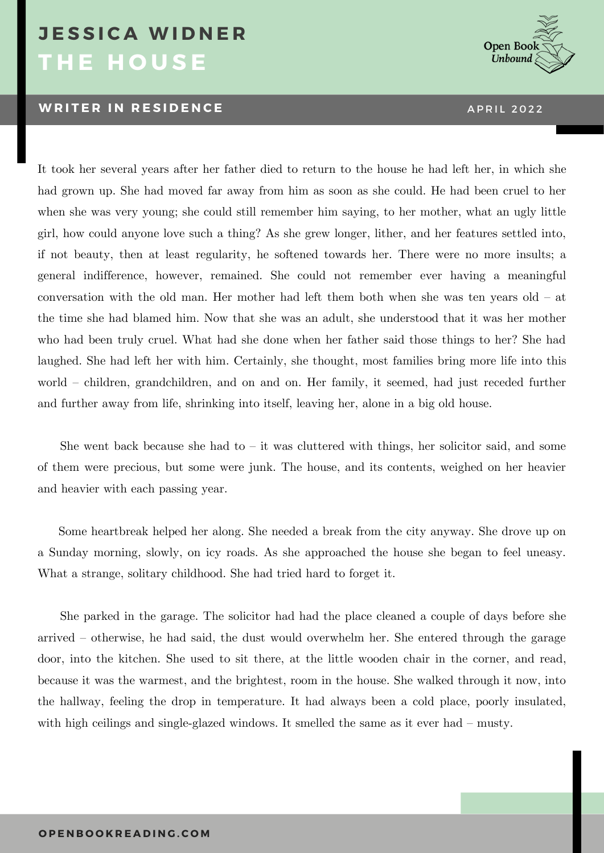## **T H E H O U S E J E S S I C A W I D N E R**

#### **W R I T E R I N R E S I D E N C E** A P R I L 2 0 2 2



It took her several years after her father died to return to the house he had left her, in which she had grown up. She had moved far away from him as soon as she could. He had been cruel to her when she was very young; she could still remember him saying, to her mother, what an ugly little girl, how could anyone love such a thing? As she grew longer, lither, and her features settled into, if not beauty, then at least regularity, he softened towards her. There were no more insults; a general indifference, however, remained. She could not remember ever having a meaningful conversation with the old man. Her mother had left them both when she was ten years old – at the time she had blamed him. Now that she was an adult, she understood that it was her mother who had been truly cruel. What had she done when her father said those things to her? She had laughed. She had left her with him. Certainly, she thought, most families bring more life into this world – children, grandchildren, and on and on. Her family, it seemed, had just receded further and further away from life, shrinking into itself, leaving her, alone in a big old house.

She went back because she had to  $-$  it was cluttered with things, her solicitor said, and some of them were precious, but some were junk. The house, and its contents, weighed on her heavier and heavier with each passing year.

Some heartbreak helped her along. She needed a break from the city anyway. She drove up on a Sunday morning, slowly, on icy roads. As she approached the house she began to feel uneasy. What a strange, solitary childhood. She had tried hard to forget it.

She parked in the garage. The solicitor had had the place cleaned a couple of days before she arrived – otherwise, he had said, the dust would overwhelm her. She entered through the garage door, into the kitchen. She used to sit there, at the little wooden chair in the corner, and read, because it was the warmest, and the brightest, room in the house. She walked through it now, into the hallway, feeling the drop in temperature. It had always been a cold place, poorly insulated, with high ceilings and single-glazed windows. It smelled the same as it ever had – musty.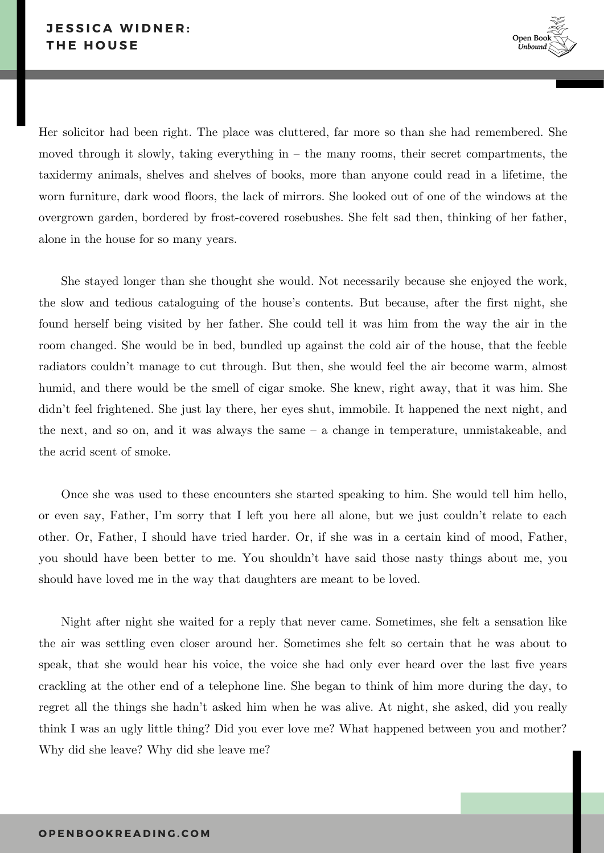### **J E S S I C A W I D N E R : T H E H O U S E**



Her solicitor had been right. The place was cluttered, far more so than she had remembered. She moved through it slowly, taking everything in – the many rooms, their secret compartments, the taxidermy animals, shelves and shelves of books, more than anyone could read in a lifetime, the worn furniture, dark wood floors, the lack of mirrors. She looked out of one of the windows at the overgrown garden, bordered by frost-covered rosebushes. She felt sad then, thinking of her father, alone in the house for so many years.

She stayed longer than she thought she would. Not necessarily because she enjoyed the work, the slow and tedious cataloguing of the house's contents. But because, after the first night, she found herself being visited by her father. She could tell it was him from the way the air in the room changed. She would be in bed, bundled up against the cold air of the house, that the feeble radiators couldn't manage to cut through. But then, she would feel the air become warm, almost humid, and there would be the smell of cigar smoke. She knew, right away, that it was him. She didn't feel frightened. She just lay there, her eyes shut, immobile. It happened the next night, and the next, and so on, and it was always the same – a change in temperature, unmistakeable, and the acrid scent of smoke.

Once she was used to these encounters she started speaking to him. She would tell him hello, or even say, Father, I'm sorry that I left you here all alone, but we just couldn't relate to each other. Or, Father, I should have tried harder. Or, if she was in a certain kind of mood, Father, you should have been better to me. You shouldn't have said those nasty things about me, you should have loved me in the way that daughters are meant to be loved.

Night after night she waited for a reply that never came. Sometimes, she felt a sensation like the air was settling even closer around her. Sometimes she felt so certain that he was about to speak, that she would hear his voice, the voice she had only ever heard over the last five years crackling at the other end of a telephone line. She began to think of him more during the day, to regret all the things she hadn't asked him when he was alive. At night, she asked, did you really think I was an ugly little thing? Did you ever love me? What happened between you and mother? Why did she leave? Why did she leave me?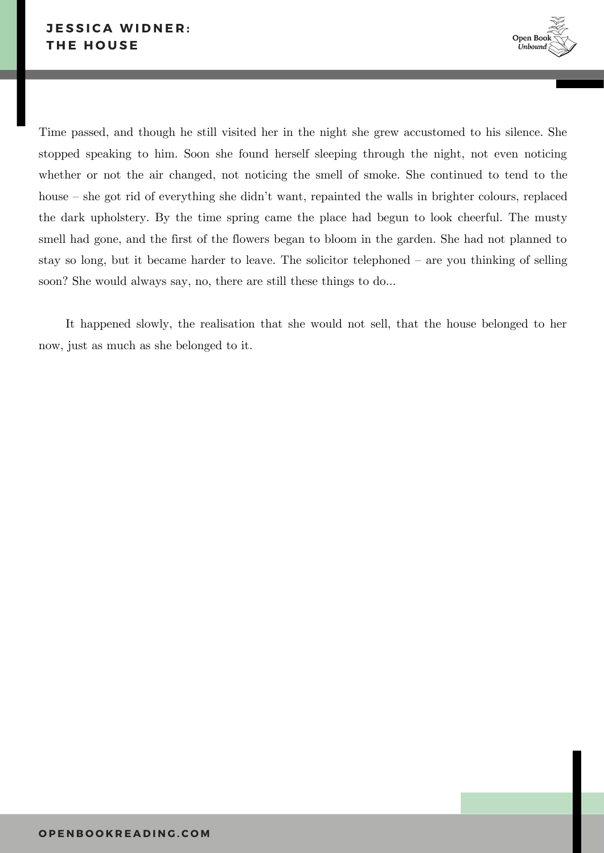

Time passed, and though he still visited her in the night she grew accustomed to his silence. She stopped speaking to him. Soon she found herself sleeping through the night, not even noticing whether or not the air changed, not noticing the smell of smoke. She continued to tend to the house – she got rid of everything she didn't want, repainted the walls in brighter colours, replaced the dark upholstery. By the time spring came the place had begun to look cheerful. The musty smell had gone, and the first of the flowers began to bloom in the garden. She had not planned to stay so long, but it became harder to leave. The solicitor telephoned – are you thinking of selling soon? She would always say, no, there are still these things to do…

It happened slowly, the realisation that she would not sell, that the house belonged to her now, just as much as she belonged to it.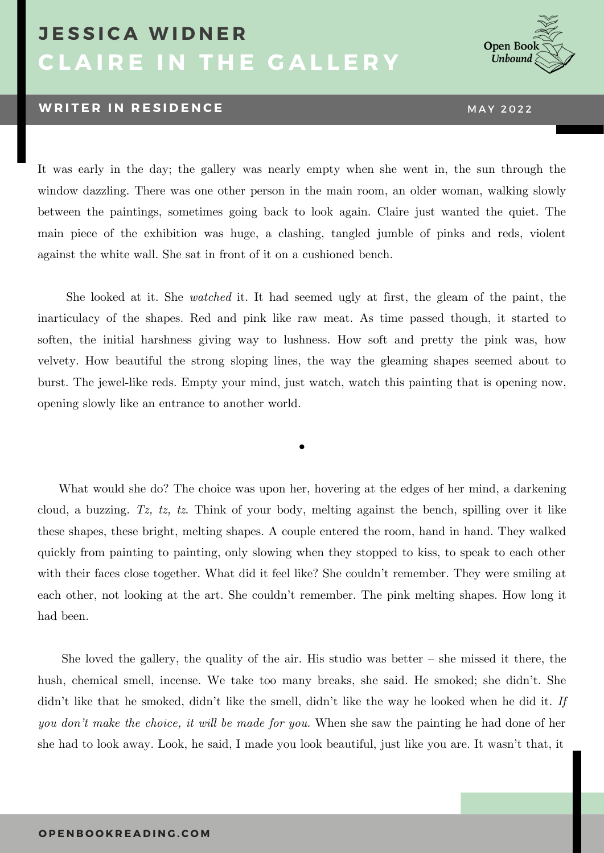# **C L A I R E I N T H E G A L L E R Y J E S S I C A W I D N E R**

### **WRITER IN RESIDENCE MAY 2022**

Open Boo Unbound

It was early in the day; the gallery was nearly empty when she went in, the sun through the window dazzling. There was one other person in the main room, an older woman, walking slowly between the paintings, sometimes going back to look again. Claire just wanted the quiet. The main piece of the exhibition was huge, a clashing, tangled jumble of pinks and reds, violent against the white wall. She sat in front of it on a cushioned bench.

She looked at it. She *watched* it. It had seemed ugly at first, the gleam of the paint, the inarticulacy of the shapes. Red and pink like raw meat. As time passed though, it started to soften, the initial harshness giving way to lushness. How soft and pretty the pink was, how velvety. How beautiful the strong sloping lines, the way the gleaming shapes seemed about to burst. The jewel-like reds. Empty your mind, just watch, watch this painting that is opening now, opening slowly like an entrance to another world.

•

What would she do? The choice was upon her, hovering at the edges of her mind, a darkening cloud, a buzzing. *Tz, tz, tz*. Think of your body, melting against the bench, spilling over it like these shapes, these bright, melting shapes. A couple entered the room, hand in hand. They walked quickly from painting to painting, only slowing when they stopped to kiss, to speak to each other with their faces close together. What did it feel like? She couldn't remember. They were smiling at each other, not looking at the art. She couldn't remember. The pink melting shapes. How long it had been.

She loved the gallery, the quality of the air. His studio was better – she missed it there, the hush, chemical smell, incense. We take too many breaks, she said. He smoked; she didn't. She didn't like that he smoked, didn't like the smell, didn't like the way he looked when he did it. *If you don't make the choice, it will be made for you.* When she saw the painting he had done of her she had to look away. Look, he said, I made you look beautiful, just like you are. It wasn't that, it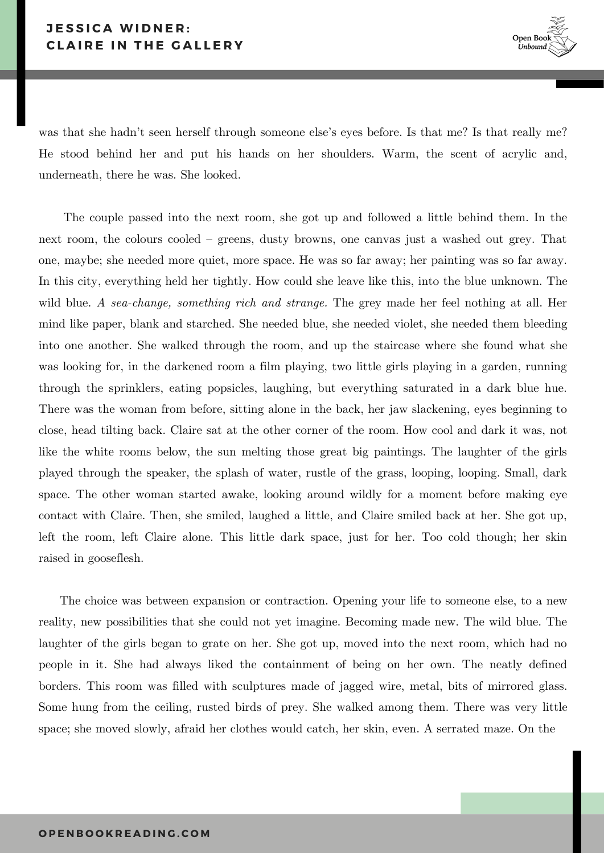was that she hadn't seen herself through someone else's eyes before. Is that me? Is that really me? He stood behind her and put his hands on her shoulders. Warm, the scent of acrylic and, underneath, there he was. She looked.

The couple passed into the next room, she got up and followed a little behind them. In the next room, the colours cooled – greens, dusty browns, one canvas just a washed out grey. That one, maybe; she needed more quiet, more space. He was so far away; her painting was so far away. In this city, everything held her tightly. How could she leave like this, into the blue unknown. The wild blue. *A sea-change, something rich and strange.* The grey made her feel nothing at all. Her mind like paper, blank and starched. She needed blue, she needed violet, she needed them bleeding into one another. She walked through the room, and up the staircase where she found what she was looking for, in the darkened room a film playing, two little girls playing in a garden, running through the sprinklers, eating popsicles, laughing, but everything saturated in a dark blue hue. There was the woman from before, sitting alone in the back, her jaw slackening, eyes beginning to close, head tilting back. Claire sat at the other corner of the room. How cool and dark it was, not like the white rooms below, the sun melting those great big paintings. The laughter of the girls played through the speaker, the splash of water, rustle of the grass, looping, looping. Small, dark space. The other woman started awake, looking around wildly for a moment before making eye contact with Claire. Then, she smiled, laughed a little, and Claire smiled back at her. She got up, left the room, left Claire alone. This little dark space, just for her. Too cold though; her skin raised in gooseflesh.

The choice was between expansion or contraction. Opening your life to someone else, to a new reality, new possibilities that she could not yet imagine. Becoming made new. The wild blue. The laughter of the girls began to grate on her. She got up, moved into the next room, which had no people in it. She had always liked the containment of being on her own. The neatly defined borders. This room was filled with sculptures made of jagged wire, metal, bits of mirrored glass. Some hung from the ceiling, rusted birds of prey. She walked among them. There was very little space; she moved slowly, afraid her clothes would catch, her skin, even. A serrated maze. On the